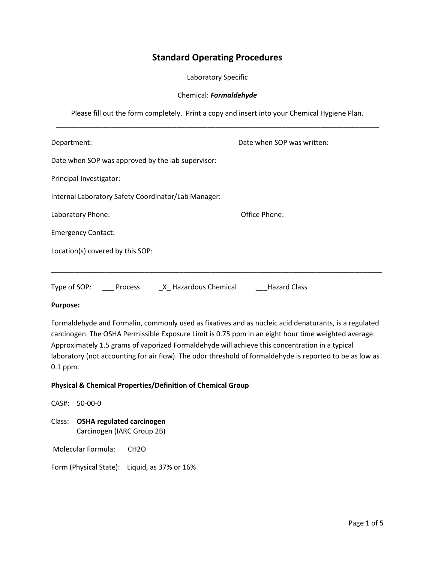# **Standard Operating Procedures**

Laboratory Specific

## Chemical: *Formaldehyde*

Please fill out the form completely. Print a copy and insert into your Chemical Hygiene Plan. \_\_\_\_\_\_\_\_\_\_\_\_\_\_\_\_\_\_\_\_\_\_\_\_\_\_\_\_\_\_\_\_\_\_\_\_\_\_\_\_\_\_\_\_\_\_\_\_\_\_\_\_\_\_\_\_\_\_\_\_\_\_\_\_\_\_\_\_\_\_\_\_\_\_\_\_\_\_\_\_\_\_\_

| Department:                                         | Date when SOP was written: |  |  |
|-----------------------------------------------------|----------------------------|--|--|
| Date when SOP was approved by the lab supervisor:   |                            |  |  |
| Principal Investigator:                             |                            |  |  |
| Internal Laboratory Safety Coordinator/Lab Manager: |                            |  |  |
| Laboratory Phone:                                   | Office Phone:              |  |  |
| <b>Emergency Contact:</b>                           |                            |  |  |
| Location(s) covered by this SOP:                    |                            |  |  |
|                                                     |                            |  |  |
| Type of SOP:<br>X Hazardous Chemical<br>Process     | <b>Hazard Class</b>        |  |  |

# **Purpose:**

Formaldehyde and Formalin, commonly used as fixatives and as nucleic acid denaturants, is a regulated carcinogen. The OSHA Permissible Exposure Limit is 0.75 ppm in an eight hour time weighted average. Approximately 1.5 grams of vaporized Formaldehyde will achieve this concentration in a typical laboratory (not accounting for air flow). The odor threshold of formaldehyde is reported to be as low as 0.1 ppm.

# **Physical & Chemical Properties/Definition of Chemical Group**

CAS#: 50-00-0

Class: **OSHA regulated carcinogen** Carcinogen (IARC Group 2B)

Molecular Formula: CH2O

Form (Physical State): Liquid, as 37% or 16%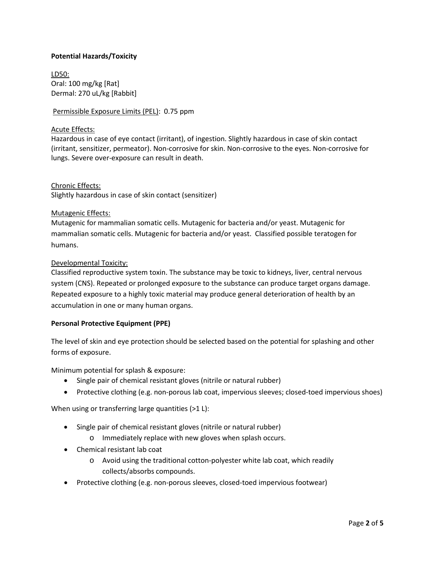# **Potential Hazards/Toxicity**

LD50: Oral: 100 mg/kg [Rat] Dermal: 270 uL/kg [Rabbit]

Permissible Exposure Limits (PEL): 0.75 ppm

#### Acute Effects:

Hazardous in case of eye contact (irritant), of ingestion. Slightly hazardous in case of skin contact (irritant, sensitizer, permeator). Non-corrosive for skin. Non-corrosive to the eyes. Non-corrosive for lungs. Severe over-exposure can result in death.

Chronic Effects: Slightly hazardous in case of skin contact (sensitizer)

#### Mutagenic Effects:

Mutagenic for mammalian somatic cells. Mutagenic for bacteria and/or yeast. Mutagenic for mammalian somatic cells. Mutagenic for bacteria and/or yeast. Classified possible teratogen for humans.

#### Developmental Toxicity:

Classified reproductive system toxin. The substance may be toxic to kidneys, liver, central nervous system (CNS). Repeated or prolonged exposure to the substance can produce target organs damage. Repeated exposure to a highly toxic material may produce general deterioration of health by an accumulation in one or many human organs.

# **Personal Protective Equipment (PPE)**

The level of skin and eye protection should be selected based on the potential for splashing and other forms of exposure.

Minimum potential for splash & exposure:

- Single pair of chemical resistant gloves (nitrile or natural rubber)
- Protective clothing (e.g. non-porous lab coat, impervious sleeves; closed-toed impervious shoes)

When using or transferring large quantities (>1 L):

- Single pair of chemical resistant gloves (nitrile or natural rubber)
	- o Immediately replace with new gloves when splash occurs.
- Chemical resistant lab coat
	- o Avoid using the traditional cotton-polyester white lab coat, which readily collects/absorbs compounds.
- Protective clothing (e.g. non-porous sleeves, closed-toed impervious footwear)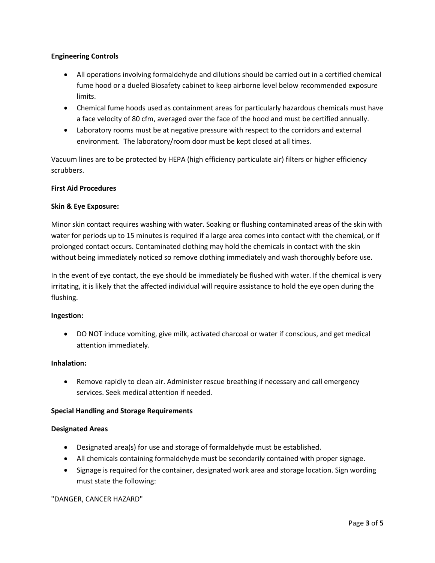# **Engineering Controls**

- All operations involving formaldehyde and dilutions should be carried out in a certified chemical fume hood or a dueled Biosafety cabinet to keep airborne level below recommended exposure limits.
- Chemical fume hoods used as containment areas for particularly hazardous chemicals must have a face velocity of 80 cfm, averaged over the face of the hood and must be certified annually.
- Laboratory rooms must be at negative pressure with respect to the corridors and external environment. The laboratory/room door must be kept closed at all times.

Vacuum lines are to be protected by HEPA (high efficiency particulate air) filters or higher efficiency scrubbers.

# **First Aid Procedures**

# **Skin & Eye Exposure:**

Minor skin contact requires washing with water. Soaking or flushing contaminated areas of the skin with water for periods up to 15 minutes is required if a large area comes into contact with the chemical, or if prolonged contact occurs. Contaminated clothing may hold the chemicals in contact with the skin without being immediately noticed so remove clothing immediately and wash thoroughly before use.

In the event of eye contact, the eye should be immediately be flushed with water. If the chemical is very irritating, it is likely that the affected individual will require assistance to hold the eye open during the flushing.

# **Ingestion:**

• DO NOT induce vomiting, give milk, activated charcoal or water if conscious, and get medical attention immediately.

# **Inhalation:**

• Remove rapidly to clean air. Administer rescue breathing if necessary and call emergency services. Seek medical attention if needed.

# **Special Handling and Storage Requirements**

#### **Designated Areas**

- Designated area(s) for use and storage of formaldehyde must be established.
- All chemicals containing formaldehyde must be secondarily contained with proper signage.
- Signage is required for the container, designated work area and storage location. Sign wording must state the following:

# "DANGER, CANCER HAZARD"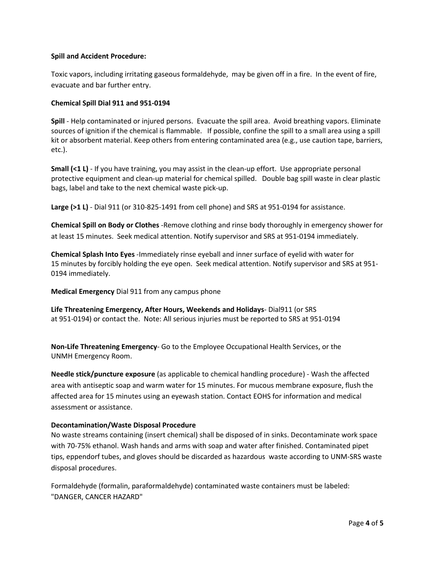## **Spill and Accident Procedure:**

Toxic vapors, including irritating gaseous formaldehyde, may be given off in a fire. In the event of fire, evacuate and bar further entry.

#### **Chemical Spill Dial 911 and 951-0194**

**Spill** - Help contaminated or injured persons. Evacuate the spill area. Avoid breathing vapors. Eliminate sources of ignition if the chemical is flammable. If possible, confine the spill to a small area using a spill kit or absorbent material. Keep others from entering contaminated area (e.g., use caution tape, barriers, etc.).

**Small (<1 L)** - If you have training, you may assist in the clean-up effort. Use appropriate personal protective equipment and clean-up material for chemical spilled. Double bag spill waste in clear plastic bags, label and take to the next chemical waste pick-up.

**Large (>1 L)** - Dial 911 (or 310-825-1491 from cell phone) and SRS at 951-0194 for assistance.

**Chemical Spill on Body or Clothes** -Remove clothing and rinse body thoroughly in emergency shower for at least 15 minutes. Seek medical attention. Notify supervisor and SRS at 951-0194 immediately.

**Chemical Splash Into Eyes** -Immediately rinse eyeball and inner surface of eyelid with water for 15 minutes by forcibly holding the eye open. Seek medical attention. Notify supervisor and SRS at 951- 0194 immediately.

**Medical Emergency** Dial 911 from any campus phone

**Life Threatening Emergency, After Hours, Weekends and Holidays**- Dial911 (or SRS at 951-0194) or contact the. Note: All serious injuries must be reported to SRS at 951-0194

**Non-Life Threatening Emergency**- Go to the Employee Occupational Health Services, or the UNMH Emergency Room.

**Needle stick/puncture exposure** (as applicable to chemical handling procedure) - Wash the affected area with antiseptic soap and warm water for 15 minutes. For mucous membrane exposure, flush the affected area for 15 minutes using an eyewash station. Contact EOHS for information and medical assessment or assistance.

#### **Decontamination/Waste Disposal Procedure**

No waste streams containing (insert chemical) shall be disposed of in sinks. Decontaminate work space with 70-75% ethanol. Wash hands and arms with soap and water after finished. Contaminated pipet tips, eppendorf tubes, and gloves should be discarded as hazardous waste according to UNM-SRS waste disposal procedures.

Formaldehyde (formalin, paraformaldehyde) contaminated waste containers must be labeled: "DANGER, CANCER HAZARD"